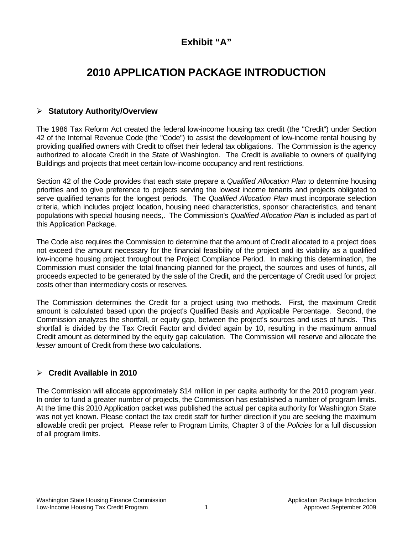## **Exhibit "A"**

# **2010 APPLICATION PACKAGE INTRODUCTION**

## ¾ **Statutory Authority/Overview**

The 1986 Tax Reform Act created the federal low-income housing tax credit (the "Credit") under Section 42 of the Internal Revenue Code (the "Code") to assist the development of low-income rental housing by providing qualified owners with Credit to offset their federal tax obligations. The Commission is the agency authorized to allocate Credit in the State of Washington. The Credit is available to owners of qualifying Buildings and projects that meet certain low-income occupancy and rent restrictions.

Section 42 of the Code provides that each state prepare a *Qualified Allocation Plan* to determine housing priorities and to give preference to projects serving the lowest income tenants and projects obligated to serve qualified tenants for the longest periods. The *Qualified Allocation Plan* must incorporate selection criteria, which includes project location, housing need characteristics, sponsor characteristics, and tenant populations with special housing needs,. The Commission's *Qualified Allocation Plan* is included as part of this Application Package.

The Code also requires the Commission to determine that the amount of Credit allocated to a project does not exceed the amount necessary for the financial feasibility of the project and its viability as a qualified low-income housing project throughout the Project Compliance Period. In making this determination, the Commission must consider the total financing planned for the project, the sources and uses of funds, all proceeds expected to be generated by the sale of the Credit, and the percentage of Credit used for project costs other than intermediary costs or reserves.

The Commission determines the Credit for a project using two methods. First, the maximum Credit amount is calculated based upon the project's Qualified Basis and Applicable Percentage. Second, the Commission analyzes the shortfall, or equity gap, between the project's sources and uses of funds. This shortfall is divided by the Tax Credit Factor and divided again by 10, resulting in the maximum annual Credit amount as determined by the equity gap calculation. The Commission will reserve and allocate the *lesser* amount of Credit from these two calculations.

## ¾ **Credit Available in 2010**

The Commission will allocate approximately \$14 million in per capita authority for the 2010 program year. In order to fund a greater number of projects, the Commission has established a number of program limits. At the time this 2010 Application packet was published the actual per capita authority for Washington State was not yet known. Please contact the tax credit staff for further direction if you are seeking the maximum allowable credit per project. Please refer to Program Limits, Chapter 3 of the *Policies* for a full discussion of all program limits.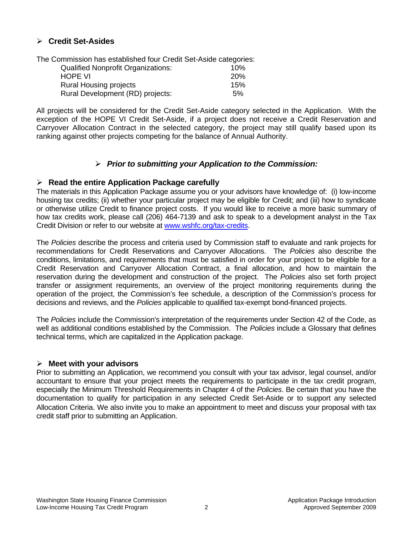## ¾ **Credit Set-Asides**

The Commission has established four Credit Set-Aside categories:

| <b>Qualified Nonprofit Organizations:</b> | 10%        |
|-------------------------------------------|------------|
| <b>HOPE VI</b>                            | <b>20%</b> |
| <b>Rural Housing projects</b>             | 15%        |
| Rural Development (RD) projects:          | 5%         |

All projects will be considered for the Credit Set-Aside category selected in the Application. With the exception of the HOPE VI Credit Set-Aside, if a project does not receive a Credit Reservation and Carryover Allocation Contract in the selected category, the project may still qualify based upon its ranking against other projects competing for the balance of Annual Authority.

## ¾ *Prior to submitting your Application to the Commission:*

#### ¾ **Read the entire Application Package carefully**

The materials in this Application Package assume you or your advisors have knowledge of: (i) low-income housing tax credits; (ii) whether your particular project may be eligible for Credit; and (iii) how to syndicate or otherwise utilize Credit to finance project costs. If you would like to receive a more basic summary of how tax credits work, please call (206) 464-7139 and ask to speak to a development analyst in the Tax Credit Division or refer to our website at [www.wshfc.org/tax-credits.](http://www.wshfc.org/tax-credits)

The *Policies* describe the process and criteria used by Commission staff to evaluate and rank projects for recommendations for Credit Reservations and Carryover Allocations. The *Policies* also describe the conditions, limitations, and requirements that must be satisfied in order for your project to be eligible for a Credit Reservation and Carryover Allocation Contract, a final allocation, and how to maintain the reservation during the development and construction of the project. The *Policies* also set forth project transfer or assignment requirements, an overview of the project monitoring requirements during the operation of the project, the Commission's fee schedule, a description of the Commission's process for decisions and reviews, and the *Policies* applicable to qualified tax-exempt bond-financed projects.

The *Policies* include the Commission's interpretation of the requirements under Section 42 of the Code, as well as additional conditions established by the Commission. The *Policies* include a Glossary that defines technical terms, which are capitalized in the Application package.

#### ¾ **Meet with your advisors**

Prior to submitting an Application, we recommend you consult with your tax advisor, legal counsel, and/or accountant to ensure that your project meets the requirements to participate in the tax credit program, especially the Minimum Threshold Requirements in Chapter 4 of the *Policies*. Be certain that you have the documentation to qualify for participation in any selected Credit Set-Aside or to support any selected Allocation Criteria. We also invite you to make an appointment to meet and discuss your proposal with tax credit staff prior to submitting an Application.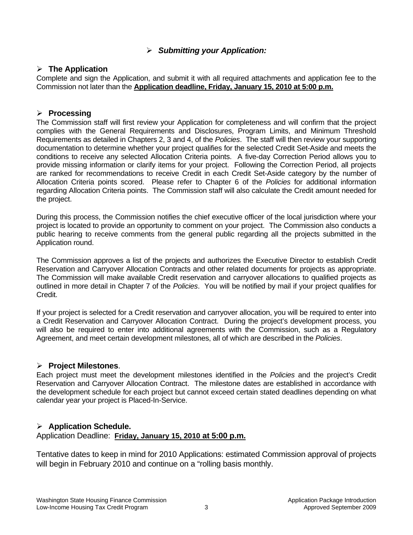## ¾ *Submitting your Application:*

## ¾ **The Application**

Complete and sign the Application, and submit it with all required attachments and application fee to the Commission not later than the **Application deadline, Friday, January 15, 2010 at 5:00 p.m.**

## ¾ **Processing**

The Commission staff will first review your Application for completeness and will confirm that the project complies with the General Requirements and Disclosures, Program Limits, and Minimum Threshold Requirements as detailed in Chapters 2, 3 and 4, of the *Policies*. The staff will then review your supporting documentation to determine whether your project qualifies for the selected Credit Set-Aside and meets the conditions to receive any selected Allocation Criteria points. A five-day Correction Period allows you to provide missing information or clarify items for your project. Following the Correction Period, all projects are ranked for recommendations to receive Credit in each Credit Set-Aside category by the number of Allocation Criteria points scored. Please refer to Chapter 6 of the *Policies* for additional information regarding Allocation Criteria points. The Commission staff will also calculate the Credit amount needed for the project.

During this process, the Commission notifies the chief executive officer of the local jurisdiction where your project is located to provide an opportunity to comment on your project. The Commission also conducts a public hearing to receive comments from the general public regarding all the projects submitted in the Application round.

The Commission approves a list of the projects and authorizes the Executive Director to establish Credit Reservation and Carryover Allocation Contracts and other related documents for projects as appropriate. The Commission will make available Credit reservation and carryover allocations to qualified projects as outlined in more detail in Chapter 7 of the *Policies*. You will be notified by mail if your project qualifies for Credit.

If your project is selected for a Credit reservation and carryover allocation, you will be required to enter into a Credit Reservation and Carryover Allocation Contract. During the project's development process, you will also be required to enter into additional agreements with the Commission, such as a Regulatory Agreement, and meet certain development milestones, all of which are described in the *Policies*.

## ¾ **Project Milestones**.

Each project must meet the development milestones identified in the *Policies* and the project's Credit Reservation and Carryover Allocation Contract. The milestone dates are established in accordance with the development schedule for each project but cannot exceed certain stated deadlines depending on what calendar year your project is Placed-In-Service.

## ¾ **Application Schedule.**

## Application Deadline: **Friday, January 15, 2010 at 5:00 p.m.**

Tentative dates to keep in mind for 2010 Applications: estimated Commission approval of projects will begin in February 2010 and continue on a "rolling basis monthly.